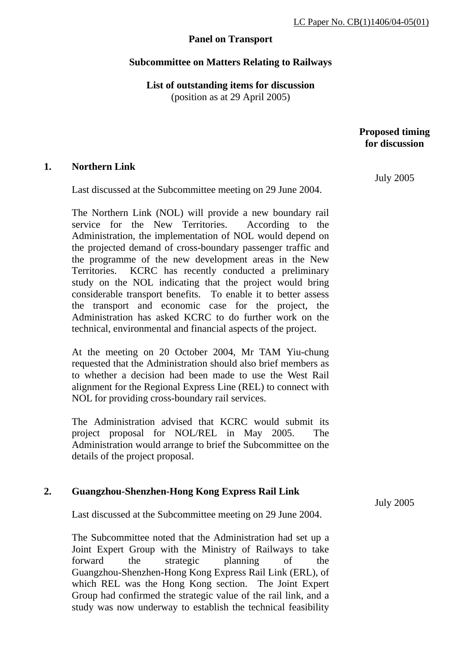# **Panel on Transport**

## **Subcommittee on Matters Relating to Railways**

**List of outstanding items for discussion**  (position as at 29 April 2005)

> **Proposed timing for discussion**

### **1. Northern Link**

Last discussed at the Subcommittee meeting on 29 June 2004.

The Northern Link (NOL) will provide a new boundary rail service for the New Territories. According to the Administration, the implementation of NOL would depend on the projected demand of cross-boundary passenger traffic and the programme of the new development areas in the New Territories. KCRC has recently conducted a preliminary study on the NOL indicating that the project would bring considerable transport benefits. To enable it to better assess the transport and economic case for the project, the Administration has asked KCRC to do further work on the technical, environmental and financial aspects of the project.

At the meeting on 20 October 2004, Mr TAM Yiu-chung requested that the Administration should also brief members as to whether a decision had been made to use the West Rail alignment for the Regional Express Line (REL) to connect with NOL for providing cross-boundary rail services.

The Administration advised that KCRC would submit its project proposal for NOL/REL in May 2005. The Administration would arrange to brief the Subcommittee on the details of the project proposal.

### **2. Guangzhou-Shenzhen-Hong Kong Express Rail Link**

Last discussed at the Subcommittee meeting on 29 June 2004.

The Subcommittee noted that the Administration had set up a Joint Expert Group with the Ministry of Railways to take forward the strategic planning of the Guangzhou-Shenzhen-Hong Kong Express Rail Link (ERL), of which REL was the Hong Kong section. The Joint Expert Group had confirmed the strategic value of the rail link, and a study was now underway to establish the technical feasibility July 2005

July 2005